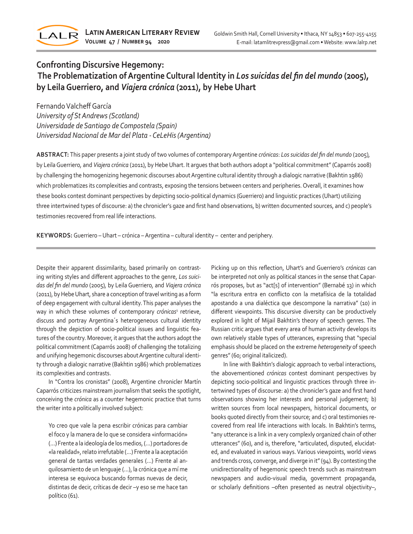

## **Confronting Discursive Hegemony: The Problematization of Argentine Cultural Identity in** *Los suicidas del fin del mundo* **(2005), by Leila Guerriero, and** *Viajera crónica* **(2011), by Hebe Uhart**

Fernando Valcheff García *University of St Andrews (Scotland) Universidade de Santiago de Compostela (Spain) Universidad Nacional de Mar del Plata - CeLeHis (Argentina)*

**ABSTRACT:** This paper presents a joint study of two volumes of contemporary Argentine *crónicas*: *Los suicidas del fin del mundo* (2005)*,*  by Leila Guerriero*,* and *Viajera crónica* (2011), by Hebe Uhart. It argues that both authors adopt a "political commitment" (Caparrós 2008) by challenging the homogenizing hegemonic discourses about Argentine cultural identity through a dialogic narrative (Bakhtin 1986) which problematizes its complexities and contrasts, exposing the tensions between centers and peripheries. Overall, it examines how these books contest dominant perspectives by depicting socio-political dynamics (Guerriero) and linguistic practices (Uhart) utilizing three intertwined types of discourse: a) the chronicler's gaze and first hand observations, b) written documented sources, and c) people's testimonies recovered from real life interactions.

**KEYWORDS:** Guerriero – Uhart – crónica – Argentina – cultural identity – center and periphery.

Despite their apparent dissimilarity, based primarily on contrasting writing styles and different approaches to the genre, *Los suicidas del fin del mundo* (2005)*,* by Leila Guerriero*,* and *Viajera crónica*  (2011), by Hebe Uhart, share a conception of travel writing as a form of deep engagement with cultural identity. This paper analyses the way in which these volumes of contemporary *crónicas*<sup>1</sup> retrieve, discuss and portray Argentina´s heterogeneous cultural identity through the depiction of socio-political issues and linguistic features of the country. Moreover, it argues that the authors adopt the political commitment (Caparrós 2008) of challenging the totalizing and unifying hegemonic discourses about Argentine cultural identity through a dialogic narrative (Bakhtin 1986) which problematizes its complexities and contrasts.

In "Contra los cronistas" (2008), Argentine chronicler Martín Caparrós criticizes mainstream journalism that seeks the spotlight, conceiving the *crónica* as a counter hegemonic practice that turns the writer into a politically involved subject:

Yo creo que vale la pena escribir crónicas para cambiar el foco y la manera de lo que se considera «información» (…) Frente a la ideología de los medios, (…) portadores de «la realidad», relato irrefutable (…) Frente a la aceptación general de tantas verdades generales (…) Frente al anquilosamiento de un lenguaje (…), la crónica que a mí me interesa se equivoca buscando formas nuevas de decir, distintas de decir, críticas de decir –y eso se me hace tan político (61).

Picking up on this reflection, Uhart's and Guerriero's *crónicas* can be interpreted not only as political stances in the sense that Caparrós proposes, but as "act[s] of intervention" (Bernabé 13) in which "la escritura entra en conflicto con la metafísica de la totalidad apostando a una dialéctica que descompone la narrativa" (10) in different viewpoints. This discursive diversity can be productively explored in light of Mijail Bakhtin's theory of speech genres. The Russian critic argues that every area of human activity develops its own relatively stable types of utterances, expressing that "special emphasis should be placed on the extreme *heterogeneity* of speech genres" (60; original italicized).

In line with Bakhtin's dialogic approach to verbal interactions, the abovementioned *crónicas* contest dominant perspectives by depicting socio-political and linguistic practices through three intertwined types of discourse: a) the chronicler's gaze and first hand observations showing her interests and personal judgement; b) written sources from local newspapers, historical documents, or books quoted directly from their source; and c) oral testimonies recovered from real life interactions with locals. In Bakhtin's terms, "any utterance is a link in a very complexly organized chain of other utterances" (60), and is, therefore, "articulated, disputed, elucidated, and evaluated in various ways. Various viewpoints, world views and trends cross, converge, and diverge in it" (94). By contesting the unidirectionality of hegemonic speech trends such as mainstream newspapers and audio-visual media, government propaganda, or scholarly definitions –often presented as neutral objectivity–,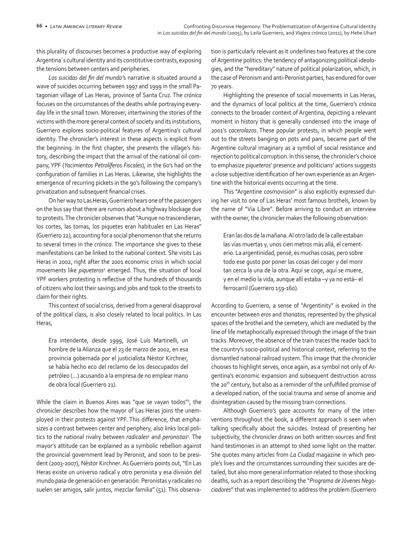this plurality of discourses becomes a productive way of exploring Argentina´s cultural identity and its constitutive contrasts, exposing the tensions between centers and peripheries.

*Los suicidas del fin del mundo'*s narrative is situated around a wave of suicides occurring between 1997 and 1999 in the small Patagonian village of Las Heras, province of Santa Cruz. The *crónica* focuses on the circumstances of the deaths while portraying everyday life in the small town. Moreover, intertwining the stories of the victims with the more general context of society and its institutions, Guerriero explores socio-political features of Argentina's cultural identity. The chronicler's interest in these aspects is explicit from the beginning*.* In the first chapter, she presents the village's history, describing the impact that the arrival of the national oil company, YPF (*Yacimientos Petrolíferos Fiscales*), in the 60's had on the configuration of families in Las Heras. Likewise, she highlights the emergence of recurring pickets in the 90's following the company's privatization and subsequent financial crises.

On her way to Las Heras, Guerriero hears one of the passengers on the bus say that there are rumors about a highway blockage due to protests. The chronicler observes that "Aunque no trascendieran, los cortes, las tomas, los piquetes eran habituales en Las Heras" (Guerriero 22), accounting for a social phenomenon that she returns to several times in the *crónica.* The importance she gives to these manifestations can be linked to the national context. She visits Las Heras in 2002, right after the 2001 economic crisis in which social movements like *piqueteros<sup>2</sup>* emerged. Thus, the situation of local YPF workers protesting is reflective of the hundreds of thousands of citizens who lost their savings and jobs and took to the streets to claim for their rights.

This context of social crisis, derived from a general disapproval of the political class, is also closely related to local politics. In Las Heras,

Era intendente, desde 1999, José Luís Martinelli, un hombre de la Alianza que el 23 de marzo de 2002, en esa provincia gobernada por el justicialista Néstor Kirchner, se había hecho eco del reclamo de los desocupados del petróleo (…) acusando a la empresa de no emplear mano de obra local (Guerriero 21).

While the claim in Buenos Aires was "que se vayan todos"<sup>3</sup>, the chronicler describes how the mayor of Las Heras joins the unemployed in their protests against YPF. This difference, that emphasizes a contrast between center and periphery, also links local politics to the national rivalry between *radicales<sup>4</sup>* and *peronistas<sup>5</sup>*. The mayor's attitude can be explained as a symbolic rebellion against the provincial government lead by Peronist, and soon to be president (2003-2007), Néstor Kirchner. As Guerriero points out, "En Las Heras existe un universo radical y otro peronista y esa división del mundo pasa de generación en generación. Peronistas y radicales no suelen ser amigos, salir juntos, mezclar familia" (51). This observation is particularly relevant as it underlines two features at the core of Argentine politics: the tendency of antagonizing political ideologies, and the "hereditary" nature of political polarization, which, in the case of Peronism and anti-Peronist parties, has endured for over 70 years.

Highlighting the presence of social movements in Las Heras, and the dynamics of local politics at the time, Guerriero's *crónica*  connects to the broader context of Argentina, depicting a relevant moment in history that is generally condensed into the image of 2001's *cacerolazos*. These popular protests, in which people went out to the streets banging on pots and pans, became part of the Argentine cultural imaginary as a symbol of social resistance and rejection to political corruption. In this sense, the chronicler's choice to emphasize *piqueteros*' presence and politicians' actions suggests a close subjective identification of her own experience as an Argentine with the historical events occurring at the time.

This "Argentine cosmovision" is also explicitly expressed during her visit to one of Las Heras' most famous brothels, known by the name of "Via Libre". Before arriving to conduct an interview with the owner, the chronicler makes the following observation:

Eran las dos de la mañana. Al otro lado de la calle estaban las vías muertas y, unos cien metros más allá, el cementerio. La argentinidad, pensé, es muchas cosas, pero sobre todo ese gusto por poner las cosas del coger y del morir tan cerca la una de la otra. Aquí se coge, aquí se muere, y en el medio la vida, aunque allí estaba –y ya no está– el ferrocarril (Guerriero 159-160).

According to Guerriero, a sense of "Argentinity" is evoked in the encounter between *eros* and *thanatos*, represented by the physical spaces of the brothel and the cemetery, which are mediated by the line of life metaphorically expressed through the image of the train tracks. Moreover, the absence of the train traces the reader back to the country's socio-political and historical context, referring to the dismantled national railroad system. This image that the chronicler chooses to highlight serves, once again, as a symbol not only of Argentina's economic expansion and subsequent destruction across the 20<sup>th</sup> century, but also as a reminder of the unfulfilled promise of a developed nation, of the social trauma and sense of anomie and disintegration caused by the missing train connections.

Although Guerriero's gaze accounts for many of the interventions throughout the book, a different approach is seen when talking specifically about the suicides. Instead of presenting her subjectivity, the chronicler draws on both written sources and first hand testimonies in an attempt to shed some light on the matter. She quotes many articles from *La Ciudad* magazine in which people's lives and the circumstances surrounding their suicides are detailed, but also more general information related to those shocking deaths, such as a report describing the "*Programa de Jóvenes Negociadores*" that was implemented to address the problem (Guerriero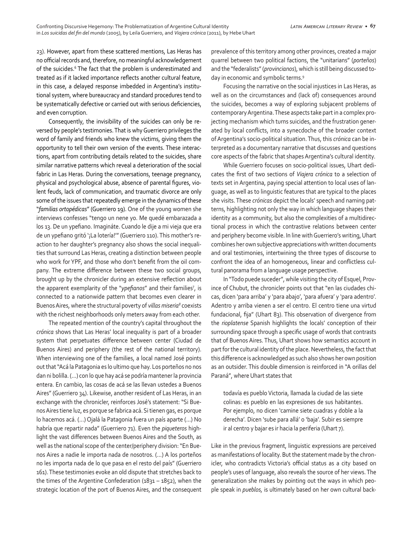23). However, apart from these scattered mentions, Las Heras has no official records and, therefore, no meaningful acknowledgement of the suicides.<sup>6</sup> The fact that the problem is underestimated and treated as if it lacked importance reflects another cultural feature, in this case, a delayed response imbedded in Argentina's institutional system, where bureaucracy and standard procedures tend to be systematically defective or carried out with serious deficiencies, and even corruption.

Consequently, the invisibility of the suicides can only be reversed by people's testimonies. That is why Guerriero privileges the word of family and friends who knew the victims, giving them the opportunity to tell their own version of the events. These interactions, apart from contributing details related to the suicides, share similar narrative patterns which reveal a deterioration of the social fabric in Las Heras. During the conversations, teenage pregnancy, physical and psychological abuse, absence of parental figures, violent feuds, lack of communication, and traumatic divorce are only some of the issues that repeatedly emerge in the dynamics of these "*familias ortopédicas*" (Guerriero 19). One of the young women she interviews confesses "tengo un nene yo. Me quedé embarazada a los 13. De un ypefiano. Imagináte. Cuando le dije a mi vieja que era de un ypefiano gritó '¡La lotería!'" (Guerriero 110). This mother's reaction to her daughter's pregnancy also shows the social inequalities that surround Las Heras, creating a distinction between people who work for YPF, and those who don't benefit from the oil company. The extreme difference between these two social groups, brought up by the chronicler during an extensive reflection about the apparent exemplarity of the "ypefianos" and their families<sup>7</sup>, is connected to a nationwide pattern that becomes even clearer in Buenos Aires, where the structural poverty of *villas miseria8* coexists with the richest neighborhoods only meters away from each other.

The repeated mention of the country's capital throughout the *crónica* shows that Las Heras' local inequality is part of a broader system that perpetuates difference between center (Ciudad de Buenos Aires) and periphery (the rest of the national territory). When interviewing one of the families, a local named José points out that "Acá la Patagonia es lo ultimo que hay. Los porteños no nos dan ni bolilla. (…) con lo que hay acá se podría mantener la provincia entera. En cambio, las cosas de acá se las llevan ustedes a Buenos Aires" (Guerriero 34). Likewise, another resident of Las Heras, in an exchange with the chronicler, reinforces José's statement: "Si Buenos Aires tiene luz, es porque se fabrica acá. Si tienen gas, es porque lo hacemos acá. (…) Ojalá la Patagonia fuera un país aparte (…) No habría que repartir nada" (Guerriero 71). Even the *piqueteros* highlight the vast differences between Buenos Aires and the South, as well as the national scope of the center/periphery division: "En Buenos Aires a nadie le importa nada de nosotros. (…) A los porteños no les importa nada de lo que pasa en el resto del país" (Guerriero 161). These testimonies evoke an old dispute that stretches back to the times of the Argentine Confederation (1831 – 1852), when the strategic location of the port of Buenos Aires, and the consequent prevalence of this territory among other provinces, created a major quarrel between two political factions, the "unitarians" (*porteños*) and the "federalists" (*provincianos*), which is still being discussed today in economic and symbolic terms.<sup>9</sup>

Focusing the narrative on the social injustices in Las Heras, as well as on the circumstances and (lack of) consequences around the suicides, becomes a way of exploring subjacent problems of contemporary Argentina. These aspects take part in a complex projecting mechanism which turns suicides, and the frustration generated by local conflicts, into a synecdoche of the broader context of Argentina's socio-political situation. Thus, this *crónica* can be interpreted as a documentary narrative that discusses and questions core aspects of the fabric that shapes Argentina's cultural identity.

While Guerriero focuses on socio-political issues, Uhart dedicates the first of two sections of *Viajera crónica* to a selection of texts set in Argentina, paying special attention to local uses of language, as well as to linguistic features that are typical to the places she visits. These *crónicas* depict the locals' speech and naming patterns, highlighting not only the way in which language shapes their identity as a community, but also the complexities of a multidirectional process in which the contrastive relations between center and periphery become visible. In line with Guerriero's writing, Uhart combines her own subjective appreciations with written documents and oral testimonies, intertwining the three types of discourse to confront the idea of an homogeneous, linear and conflictless cultural panorama from a language usage perspective.

In "Todo puede suceder", while visiting the city of Esquel, Province of Chubut, the chronicler points out that "en las ciudades chicas, dicen 'para arriba' y 'para abajo', 'para afuera' y 'para adentro'. Adentro y arriba vienen a ser el centro. El centro tiene una virtud fundacional, fija" (Uhart 83). This observation of divergence from the *rioplatense* Spanish highlights the locals' conception of their surrounding space through a specific usage of words that contrasts that of Buenos Aires. Thus, Uhart shows how semantics account in part for the cultural identity of the place. Nevertheless, the fact that this difference is acknowledged as such also shows her own position as an outsider. This double dimension is reinforced in "A orillas del Paraná", where Uhart states that

todavía es pueblo Victoria, llamada la ciudad de las siete colinas: es pueblo en las expresiones de sus habitantes. Por ejemplo, no dicen 'camine siete cuadras y doble a la derecha'. Dicen 'sube para allá' o 'baja'. Subir es siempre ir al centro y bajar es ir hacia la periferia (Uhart 7).

Like in the previous fragment, linguistic expressions are perceived as manifestations of locality. But the statement made by the chronicler, who contradicts Victoria's official status as a city based on people's uses of language, also reveals the source of her views. The generalization she makes by pointing out the ways in which people speak in *pueblos,* is ultimately based on her own cultural back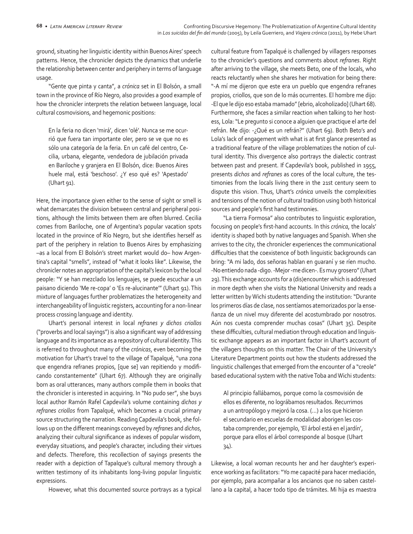ground, situating her linguistic identity within Buenos Aires' speech patterns. Hence, the chronicler depicts the dynamics that underlie the relationship between center and periphery in terms of language usage.

"Gente que pinta y canta", a *crónica* set in El Bolsón, a small town in the province of Río Negro, also provides a good example of how the chronicler interprets the relation between language, local cultural cosmovisions, and hegemonic positions:

En la feria no dicen 'mirá', dicen 'olé'. Nunca se me ocurrió que fuera tan importante oler, pero se ve que no es sólo una categoría de la feria. En un café del centro, Cecilia, urbana, elegante, vendedora de jubilación privada en Bariloche y granjera en El Bolsón, dice: Buenos Aires huele mal, está 'beschoso'. ¿Y eso qué es? 'Apestado' (Uhart 91).

Here, the importance given either to the sense of sight or smell is what demarcates the division between central and peripheral positions, although the limits between them are often blurred. Cecilia comes from Bariloche, one of Argentina's popular vacation spots located in the province of Río Negro, but she identifies herself as part of the periphery in relation to Buenos Aires by emphasizing –as a local from El Bolsón's street market would do– how Argentina's capital "smells", instead of "what it looks like". Likewise, the chronicler notes an appropriation of the capital's lexicon by the local people: "Y se han mezclado los lenguajes, se puede escuchar a un paisano diciendo 'Me re-copa' o 'Es re-alucinante'" (Uhart 91). This mixture of languages further problematizes the heterogeneity and interchangeability of linguistic registers, accounting for a non-linear process crossing language and identity.

Uhart's personal interest in local *refranes y dichos criollos* ("proverbs and local sayings") is also a significant way of addressing language and its importance as a repository of cultural identity. This is referred to throughout many of the *crónicas*, even becoming the motivation for Uhart's travel to the village of Tapalqué, "una zona que engendra refranes propios, [que se] van repitiendo y modificando constantemente" (Uhart 67). Although they are originally born as oral utterances, many authors compile them in books that the chronicler is interested in acquiring. In "No pudo ser", she buys local author Ramón Rafel Capdevila's volume containing *dichos y refranes criollos* from Tapalqué, which becomes a crucial primary source structuring the narration. Reading Capdevila's book, she follows up on the different meanings conveyed by *refranes* and *dichos*, analyzing their cultural significance as indexes of popular wisdom, everyday situations, and people's character, including their virtues and defects. Therefore, this recollection of sayings presents the reader with a depiction of Tapalque's cultural memory through a written testimony of its inhabitants long-living popular linguistic expressions.

However, what this documented source portrays as a typical

cultural feature from Tapalqué is challenged by villagers responses to the chronicler's questions and comments about *refranes*. Right after arriving to the village, she meets Beto, one of the locals, who reacts reluctantly when she shares her motivation for being there: "-A mí me dijeron que este era un pueblo que engendra refranes propios, criollos, que son de lo más ocurrentes. El hombre me dijo: -El que le dijo eso estaba mamado" [ebrio, alcoholizado] (Uhart 68). Furthermore, she faces a similar reaction when talking to her hostess, Lola: "Le pregunto si conoce a alguien que practique el arte del refrán. Me dijo: -¿Qué es un refrán?" (Uhart 69). Both Beto's and Lola's lack of engagement with what is at first glance presented as a traditional feature of the village problematizes the notion of cultural identity. This divergence also portrays the dialectic contrast between past and present. If Capdevila's book, published in 1955, presents *dichos* and *refranes* as cores of the local culture, the testimonies from the locals living there in the 21st century seem to dispute this vision. Thus, Uhart's *crónica* unveils the complexities and tensions of the notion of cultural tradition using both historical sources and people's first hand testimonies.

"La tierra Formosa" also contributes to linguistic exploration, focusing on people's first-hand accounts. In this *crónica*, the locals' identity is shaped both by native languages and Spanish. When she arrives to the city, the chronicler experiences the communicational difficulties that the coexistence of both linguistic backgrounds can bring: "A mi lado, dos señoras hablan en guaraní y se ríen mucho. -No entiendo nada -digo. -Mejor -me dicen-. Es muy grosero" (Uhart 29). This exchange accounts for a (dis)encounter which is addressed in more depth when she visits the National University and reads a letter written by Wichi students attending the institution: "Durante los primeros días de clase, nos sentíamos atemorizados por la enseñanza de un nivel muy diferente del acostumbrado por nosotros. Aún nos cuesta comprender muchas cosas" (Uhart 35). Despite these difficulties, cultural mediation through education and linguistic exchange appears as an important factor in Uhart's account of the villagers thoughts on this matter. The Chair of the University's Literature Department points out how the students addressed the linguistic challenges that emerged from the encounter of a "creole" based educational system with the native Toba and Wichi students:

Al principio fallábamos, porque como la cosmovisión de ellos es diferente, no lográbamos resultados. Recurrimos a un antropólogo y mejoró la cosa. (…) a los que hicieron el secundario en escuelas de modalidad aborigen les costaba comprender, por ejemplo, 'El árbol está en el jardín', porque para ellos el árbol corresponde al bosque (Uhart 34).

Likewise, a local woman recounts her and her daughter's experience working as facilitators: "Yo me capacité para hacer mediación, por ejemplo, para acompañar a los ancianos que no saben castellano a la capital, a hacer todo tipo de trámites. Mi hija es maestra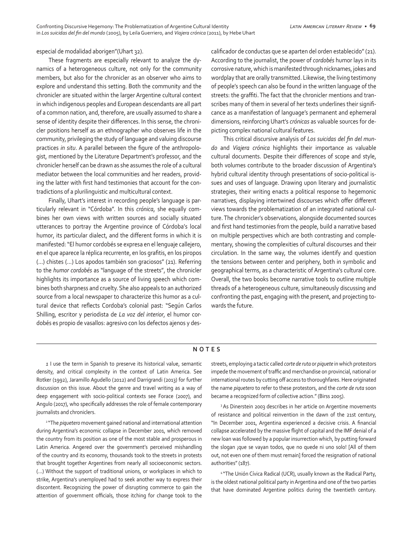especial de modalidad aborigen"(Uhart 32).

These fragments are especially relevant to analyze the dynamics of a heterogeneous culture, not only for the community members, but also for the chronicler as an observer who aims to explore and understand this setting. Both the community and the chronicler are situated within the larger Argentine cultural context in which indigenous peoples and European descendants are all part of a common nation, and, therefore, are usually assumed to share a sense of identity despite their differences. In this sense, the chronicler positions herself as an ethnographer who observes life in the community, privileging the study of language and valuing discourse practices *in situ*. A parallel between the figure of the anthropologist, mentioned by the Literature Department's professor, and the chronicler herself can be drawn as she assumes the role of a cultural mediator between the local communities and her readers, providing the latter with first hand testimonies that account for the contradictions of a plurilinguistic and multicultural context.

Finally, Uhart's interest in recording people's language is particularly relevant in "Córdoba". In this *crónica*, she equally combines her own views with written sources and socially situated utterances to portray the Argentine province of Córdoba's local humor, its particular dialect, and the different forms in which it is manifested: "El humor cordobés se expresa en el lenguaje callejero, en el que aparece la réplica recurrente, en los grafitis, en los piropos (…) chistes (…) Los apodos también son graciosos" (21). Referring to the *humor cordobés* as "language of the streets", the chronicler highlights its importance as a source of living speech which combines both sharpness and cruelty. She also appeals to an authorized source from a local newspaper to characterize this humor as a cultural device that reflects Cordoba's colonial past: "Según Carlos Shilling, escritor y periodista de *La voz del interior*, el humor cordobés es propio de vasallos: agresivo con los defectos ajenos y descalificador de conductas que se aparten del orden establecido" (21). According to the journalist, the power of *cordobés* humor lays in its corrosive nature, which is manifested through nicknames, jokes and wordplay that are orally transmitted. Likewise, the living testimony of people's speech can also be found in the written language of the streets: the graffiti. The fact that the chronicler mentions and transcribes many of them in several of her texts underlines their significance as a manifestation of language's permanent and ephemeral dimensions, reinforcing Uhart's *crónicas* as valuable sources for depicting complex national cultural features.

This critical discursive analysis of *Los suicidas del fin del mundo* and *Viajera crónica* highlights their importance as valuable cultural documents. Despite their differences of scope and style, both volumes contribute to the broader discussion of Argentina's hybrid cultural identity through presentations of socio-political issues and uses of language. Drawing upon literary and journalistic strategies, their writing enacts a political response to hegemonic narratives, displaying intertwined discourses which offer different views towards the problematization of an integrated national culture. The chronicler's observations, alongside documented sources and first hand testimonies from the people, build a narrative based on multiple perspectives which are both contrasting and complementary, showing the complexities of cultural discourses and their circulation. In the same way, the volumes identify and question the tensions between center and periphery, both in symbolic and geographical terms, as a characteristic of Argentina's cultural core. Overall, the two books become narrative tools to outline multiple threads of a heterogeneous culture, simultaneously discussing and confronting the past, engaging with the present, and projecting towards the future.

## **NOTES**

*1* I use the term in Spanish to preserve its historical value, semantic density, and critical complexity in the context of Latin America. See Rotker (1992), Jaramillo Agudello (2012) and Darrigrandi (2013) for further discussion on this issue. About the genre and travel writing as a way of deep engagement with socio-political contexts see Forace (2007), and Angulo (2017), who specifically addresses the role of female contemporary journalists and chroniclers.

2 "The *piquetero* movement gained national and international attention during Argentina's economic collapse in December 2001, which removed the country from its position as one of the most stable and prosperous in Latin America. Angered over the government's perceived mishandling of the country and its economy, thousands took to the streets in protests that brought together Argentines from nearly all socioeconomic sectors. (…) Without the support of traditional unions, or workplaces in which to strike, Argentina's unemployed had to seek another way to express their discontent. Recognizing the power of disrupting commerce to gain the attention of government officials, those itching for change took to the streets, employing a tactic called *corte de ruta* or *piquete* in which protestors impede the movement of traffic and merchandise on provincial, national or international routes by cutting off access to thoroughfares. Here originated the name *piquetero* to refer to these protestors, and the *corte de ruta* soon became a recognized form of collective action." (Birss 2005).

<sup>3</sup> As Dinerstein 2003 describes in her article on Argentine movements of resistance and political reinvention in the dawn of the 21st century, "In December 2001, Argentina experienced a decisive crisis. A financial collapse accelerated by the massive flight of capital and the IMF denial of a new loan was followed by a popular insurrection which, by putting forward the slogan ¡que se vayan todos, que no quede ni uno solo! [All of them out, not even one of them must remain] forced the resignation of national authorities" (187).

4 "The Unión Cívica Radical (UCR), usually known as the Radical Party, is the oldest national political party in Argentina and one of the two parties that have dominated Argentine politics during the twentieth century.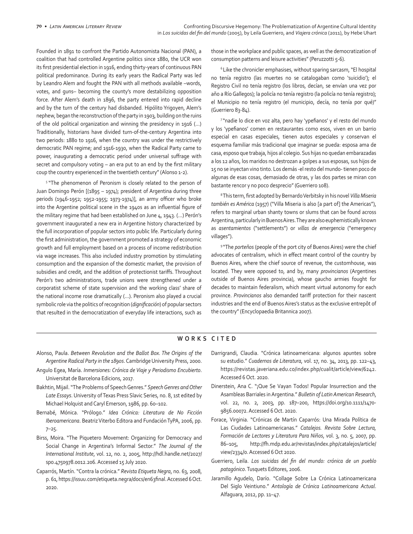Founded in 1891 to confront the Partido Autonomista Nacional (PAN), a coalition that had controlled Argentine politics since 1880, the UCR won its first presidential election in 1916, ending thirty-years of continuous PAN political predominance. During its early years the Radical Party was led by Leandro Alem and fought the PAN with all methods available –words, votes, and guns– becoming the county's more destabilizing opposition force. After Alem's death in 1896, the party entered into rapid decline and by the turn of the century had disbanded. Hipólito Yrigoyen, Alem's nephew, began the reconstruction of the party in 1903, building on the ruins of the old political organization and winning the presidency in 1916 (…) Traditionally, historians have divided turn-of-the-century Argentina into two periods: 1880 to 1916, when the country was under the restrictively democratic PAN regime; and 1916-1930, when the Radical Party came to power, inaugurating a democratic period under universal suffrage with secret and compulsory voting – an era put to an end by the first military coup the country experienced in the twentieth century" (Alonso 1-2).

<sup>5</sup> "The phenomenon of Peronism is closely related to the person of Juan Domingo Perón [(1895 – 1974); president of Argentina during three periods (1946-1952; 1952-1955; 1973-1974)], an army officer who broke into the Argentine political scene in the 1940s as an influential figure of the military regime that had been established on June 4, 1943. (…) Perón's government inaugurated a new era in Argentine history characterized by the full incorporation of popular sectors into public life. Particularly during the first administration, the government promoted a strategy of economic growth and full employment based on a process of income redistribution via wage increases. This also included industry promotion by stimulating consumption and the expansion of the domestic market, the provision of subsidies and credit, and the addition of protectionist tariffs. Throughout Perón's two administrations, trade unions were strengthened under a corporatist scheme of state supervision and the working class' share of the national income rose dramatically (…). Peronism also played a crucial symbolic role via the politics of recognition (*dignificación*) of popular sectors that resulted in the democratization of everyday life interactions, such as those in the workplace and public spaces, as well as the democratization of consumption patterns and leisure activities" (Peruzzotti 5-6).

6 Like the chronicler emphasises, without sparing sarcasm, "El hospital no tenía registro (las muertes no se catalogaban como 'suicidio'); el Registro Civil no tenía registro (los libros, decían, se envían una vez por año a Río Gallegos); la policía no tenía registro (la policía no tenía registro); el Municipio no tenía registro (el municipio, decía, no tenía por qué)" (Guerriero 83-84).

<sup>7</sup>"nadie lo dice en voz alta, pero hay 'ypefianos' y el resto del mundo y los 'ypefianos' comen en restaurantes como esos, viven en un barrio especial en casas especiales, tienen autos especiales y conservan el esquema familiar más tradicional que imaginar se pueda: esposa ama de casa, esposo que trabaja, hijos al colegio. Sus hijas no quedan embarazadas a los 12 años, los maridos no destrozan a golpes a sus esposas, sus hijos de 15 no se inyectan vino tinto. Los demás -el resto del mundo- tienen poco de algunas de esas cosas, demasiado de otras, y las dos partes se miran con bastante rencor y no poco desprecio" (Guerriero 108).

<sup>8</sup>This term, first adopted by Bernardo Verbitsky in his novel *Villa Miseria también es América* (1957) ("Villa Miseria is also [a part of] the Americas"), refers to marginal urban shanty towns or slums that can be found across Argentina, particularly in Buenos Aires. They are also euphemistically known as *asentamientos* ("settlements") or *villas de emergencia* ("emergency villages").

9 "The *porteños* (people of the port city of Buenos Aires) were the chief advocates of centralism, which in effect meant control of the country by Buenos Aires, where the chief source of revenue, the customhouse, was located. They were opposed to, and by, many *provincianos* (Argentines outside of Buenos Aires provincia), whose gaucho armies fought for decades to maintain federalism, which meant virtual autonomy for each province. *Provincianos* also demanded tariff protection for their nascent industries and the end of Buenos Aires's status as the exclusive entrepôt of the country" (Encyclopaedia Britannica 2007).

## **WORKS CITED**

- Alonso, Paula. *Between Revolution and the Ballot Box. The Origins of the Argentine Radical Party in the 1890s*. Cambridge University Press, 2000.
- Angulo Egea, María. *Inmersiones: Crónica de Viaje y Periodismo Encubierto*. Universitat de Barcelona Edicions, 2017.
- Bakhtin, Mijail. "The Problems of Speech Genres." *Speech Genres and Other Late Essays*. University of Texas Press Slavic Series, no. 8, 1st edited by Michael Holquist and Caryl Emerson, 1986, pp. 60–102.
- Bernabé, Mónica. "Prólogo." *Idea Crónica: Literatura de No Ficción Iberoamericana*. Beatriz Viterbo Editora and Fundación TyPA, 2006, pp.  $7 - 25.$
- Birss, Moira. "The Piquetero Movement: Organizing for Democracy and Social Change in Argentina's Informal Sector." *The Journal of the International Institute*, vol. 12, no. 2, 2005, http://hdl.handle.net/2027/ spo.4750978.0012.206. Accessed 15 July 2020.
- Caparrós, Martín. "Contra la crónica." *Revista Etiqueta Negra*, no. 63, 2008, p. 61, https://issuu.com/etiqueta.negra/docs/en63final. Accessed 6 Oct. 2020.
- Darrigrandi, Claudia. "Crónica latinoamericana: algunos apuntes sobre su estudio." *Cuadernos de Literatura*, vol. 17, no. 34, 2013, pp. 122–43, https://revistas.javeriana.edu.co/index.php/cualit/article/view/6242. Accessed 6 Oct. 2020.
- Dinerstein, Ana C. "¡Que Se Vayan Todos! Popular Insurrection and the Asambleas Barriales in Argentina." *Bulletin of Latin American Research*, vol. 22, no. 2, 2003, pp. 187–200, https://doi.org/10.1111/1470- 9856.00072. Accessed 6 Oct. 2020.
- Forace, Virginia. "Crónicas de Martín Caparrós: Una Mirada Política de Las Ciudades Latinoamericanas." *Catalejos. Revista Sobre Lectura, Formación de Lectores y Literatura Para Niños*, vol. 3, no. 5, 2007, pp. 86–105, http://fh.mdp.edu.ar/revistas/index.php/catalejos/article/ view/2334/0. Accessed 6 Oct 2020.
- Guerriero, Leila. *Los suicidas del fin del mundo: crónica de un pueblo patagónico*. Tusquets Editores, 2006.
- Jaramillo Agudelo, Darío. "Collage Sobre La Crónica Latinoamericana Del Siglo Veintiuno." *Antología de Crónica Latinoamericana Actual*. Alfaguara, 2012, pp. 11–47.